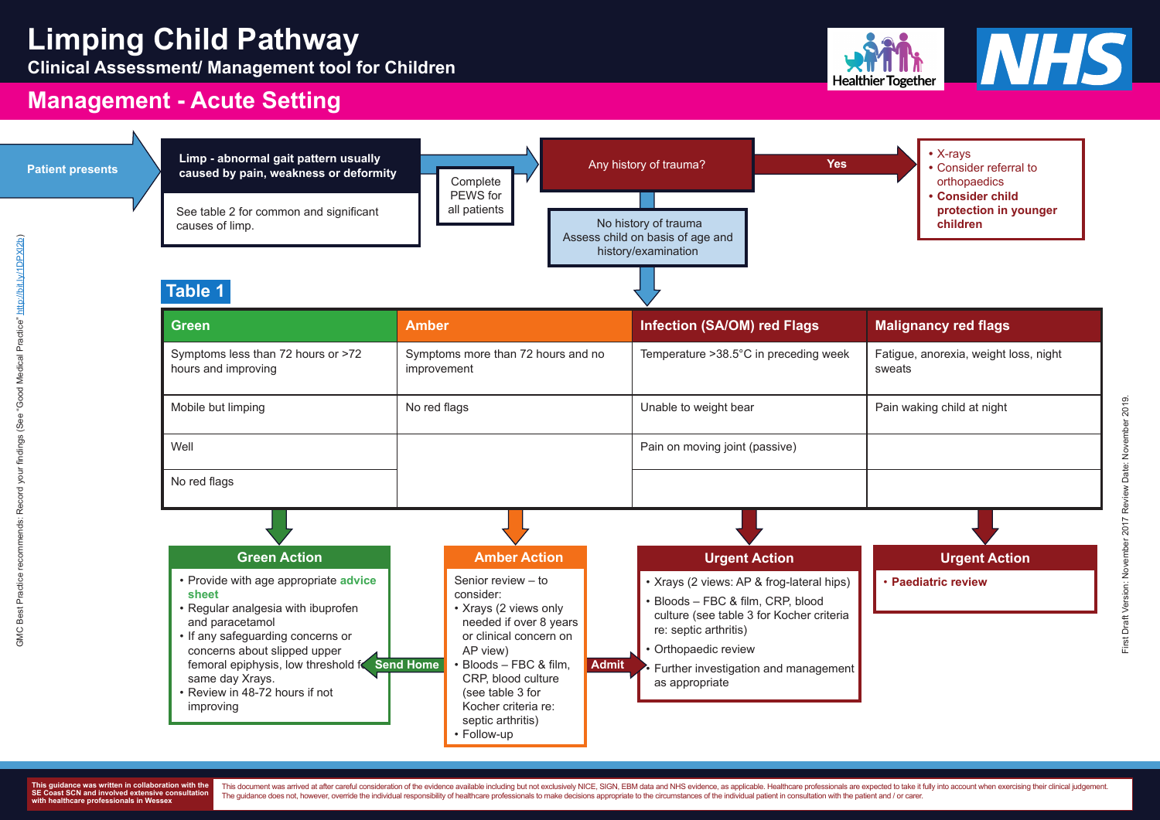sweats

**Urgent Action**



**Clinical Assessment/ Management tool for Children**



# **Management - Acute Setting**

|  | <b>Patient presents</b> |
|--|-------------------------|
|  |                         |

This document was arrived at after careful consideration of the evidence available including but not exclusively NICE, SIGN, EBM data and NHS evidence, as applicable. Healthcare professionals are expected to take it fully The guidance does not, however, override the individual responsibility of healthcare professionals to make decisions appropriate to the circumstances of the individual patient in consultation with the patient and / or care



### X-rays

- **•** Consider referral to orthopaedics
- **• Consider child [protection in younger](https://what0-18.nhs.uk/professionals/gp-primary-care-staff/safeguarding)**